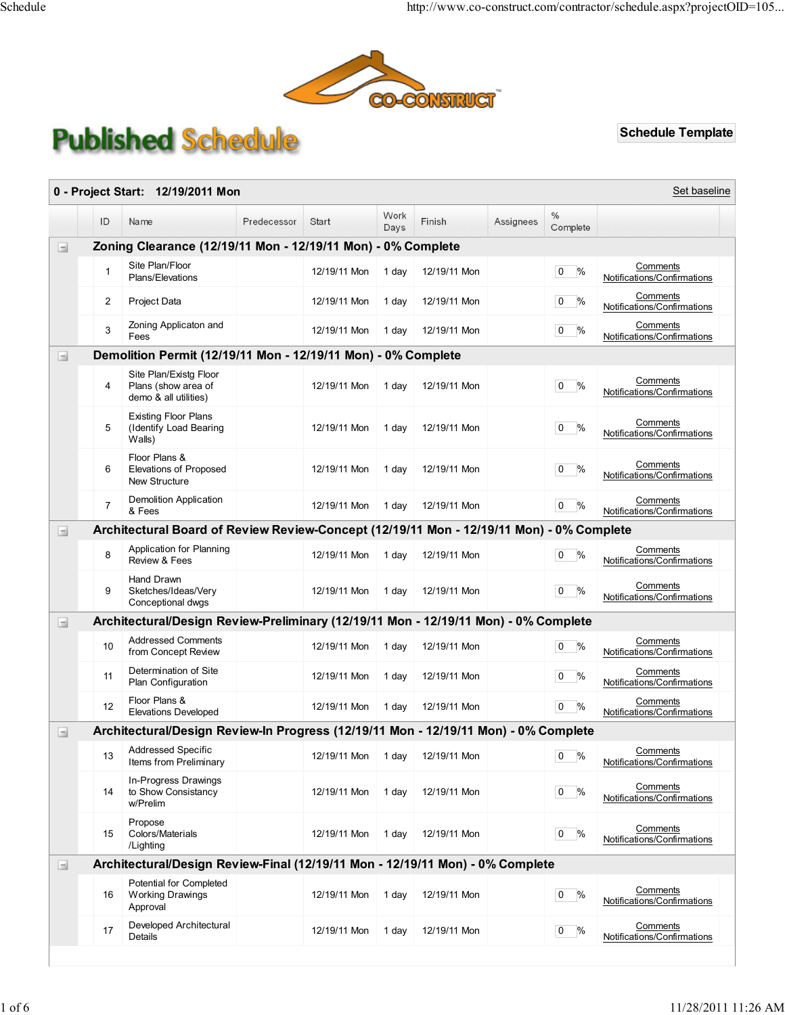

## **Published Schedule**

## Schedule Template

| 0 - Project Start: 12/19/2011 Mon<br>Set baseline |                                                              |                                                                                          |             |              |              |              |           |                                 |                                                |
|---------------------------------------------------|--------------------------------------------------------------|------------------------------------------------------------------------------------------|-------------|--------------|--------------|--------------|-----------|---------------------------------|------------------------------------------------|
|                                                   | ID                                                           | Name                                                                                     | Predecessor | Start        | Work<br>Days | Finish       | Assignees | $\%$<br>Complete                |                                                |
| Ξ                                                 | Zoning Clearance (12/19/11 Mon - 12/19/11 Mon) - 0% Complete |                                                                                          |             |              |              |              |           |                                 |                                                |
|                                                   | 1                                                            | Site Plan/Floor<br>Plans/Elevations                                                      |             | 12/19/11 Mon | 1 day        | 12/19/11 Mon |           | %<br>$\overline{0}$             | Comments<br>Notifications/Confirmations        |
|                                                   | $\overline{2}$                                               | Project Data                                                                             |             | 12/19/11 Mon | 1 day        | 12/19/11 Mon |           | $\frac{9}{6}$<br>$\overline{0}$ | Comments<br>Notifications/Confirmations        |
|                                                   | 3                                                            | Zoning Applicaton and<br>Fees                                                            |             | 12/19/11 Mon | 1 day        | 12/19/11 Mon |           | $\frac{1}{2}$<br>0              | Comments<br>Notifications/Confirmations        |
| $\begin{array}{c} \hline \end{array}$             |                                                              | Demolition Permit (12/19/11 Mon - 12/19/11 Mon) - 0% Complete                            |             |              |              |              |           |                                 |                                                |
|                                                   | 4                                                            | Site Plan/Existg Floor<br>Plans (show area of<br>demo & all utilities)                   |             | 12/19/11 Mon | 1 day        | 12/19/11 Mon |           | $\%$<br>0                       | Comments<br>Notifications/Confirmations        |
|                                                   | 5                                                            | <b>Existing Floor Plans</b><br>(Identify Load Bearing<br>Walls)                          |             | 12/19/11 Mon | 1 day        | 12/19/11 Mon |           | $\frac{1}{2}$<br>0              | Comments<br>Notifications/Confirmations        |
|                                                   | 6                                                            | Floor Plans &<br>Elevations of Proposed<br>New Structure                                 |             | 12/19/11 Mon | 1 day        | 12/19/11 Mon |           | $\frac{0}{0}$<br>0              | Comments<br>Notifications/Confirmations        |
|                                                   | $\overline{7}$                                               | Demolition Application<br>& Fees                                                         |             | 12/19/11 Mon | 1 day        | 12/19/11 Mon |           | $\overline{0}$<br>%             | Comments<br>Notifications/Confirmations        |
| $\equiv$                                          |                                                              | Architectural Board of Review Review-Concept (12/19/11 Mon - 12/19/11 Mon) - 0% Complete |             |              |              |              |           |                                 |                                                |
|                                                   | 8                                                            | Application for Planning<br>Review & Fees                                                |             | 12/19/11 Mon | 1 day        | 12/19/11 Mon |           | %<br>0                          | Comments<br>Notifications/Confirmations        |
|                                                   | 9                                                            | Hand Drawn<br>Sketches/Ideas/Very<br>Conceptional dwgs                                   |             | 12/19/11 Mon | 1 day        | 12/19/11 Mon |           | $\frac{0}{0}$<br>0              | Comments<br>Notifications/Confirmations        |
| $\blacksquare$                                    |                                                              | Architectural/Design Review-Preliminary (12/19/11 Mon - 12/19/11 Mon) - 0% Complete      |             |              |              |              |           |                                 |                                                |
|                                                   | 10                                                           | <b>Addressed Comments</b><br>from Concept Review                                         |             | 12/19/11 Mon | 1 day        | 12/19/11 Mon |           | %<br>0                          | Comments<br>Notifications/Confirmations        |
|                                                   | 11                                                           | Determination of Site<br>Plan Configuration                                              |             | 12/19/11 Mon | 1 day        | 12/19/11 Mon |           | $\frac{0}{0}$<br>$\mathbf{0}$   | Comments<br>Notifications/Confirmations        |
|                                                   | 12                                                           | Floor Plans &<br>Elevations Developed                                                    |             | 12/19/11 Mon | 1 day        | 12/19/11 Mon |           | %<br>$\mathbf{0}$               | Comments<br>Notifications/Confirmations        |
| $\begin{array}{c} \hline \end{array}$             |                                                              | Architectural/Design Review-In Progress (12/19/11 Mon - 12/19/11 Mon) - 0% Complete      |             |              |              |              |           |                                 |                                                |
|                                                   | 13                                                           | Addressed Specific<br>Items from Preliminary                                             |             | 12/19/11 Mon | 1 day        | 12/19/11 Mon |           | %<br>0                          | <b>Comments</b><br>Notifications/Confirmations |
|                                                   | 14                                                           | In-Progress Drawings<br>to Show Consistancy<br>w/Prelim                                  |             | 12/19/11 Mon | 1 day        | 12/19/11 Mon |           | %<br>0                          | Comments<br>Notifications/Confirmations        |
|                                                   | 15                                                           | Propose<br>Colors/Materials<br>/Lighting                                                 |             | 12/19/11 Mon | 1 day        | 12/19/11 Mon |           | $\frac{9}{6}$<br>0              | Comments<br>Notifications/Confirmations        |
| $\blacksquare$                                    |                                                              | Architectural/Design Review-Final (12/19/11 Mon - 12/19/11 Mon) - 0% Complete            |             |              |              |              |           |                                 |                                                |
|                                                   | 16                                                           | Potential for Completed<br><b>Working Drawings</b><br>Approval                           |             | 12/19/11 Mon | 1 day        | 12/19/11 Mon |           | %<br>0                          | Comments<br>Notifications/Confirmations        |
|                                                   | 17                                                           | Developed Architectural<br>Details                                                       |             | 12/19/11 Mon | 1 day        | 12/19/11 Mon |           | %<br>0                          | Comments<br>Notifications/Confirmations        |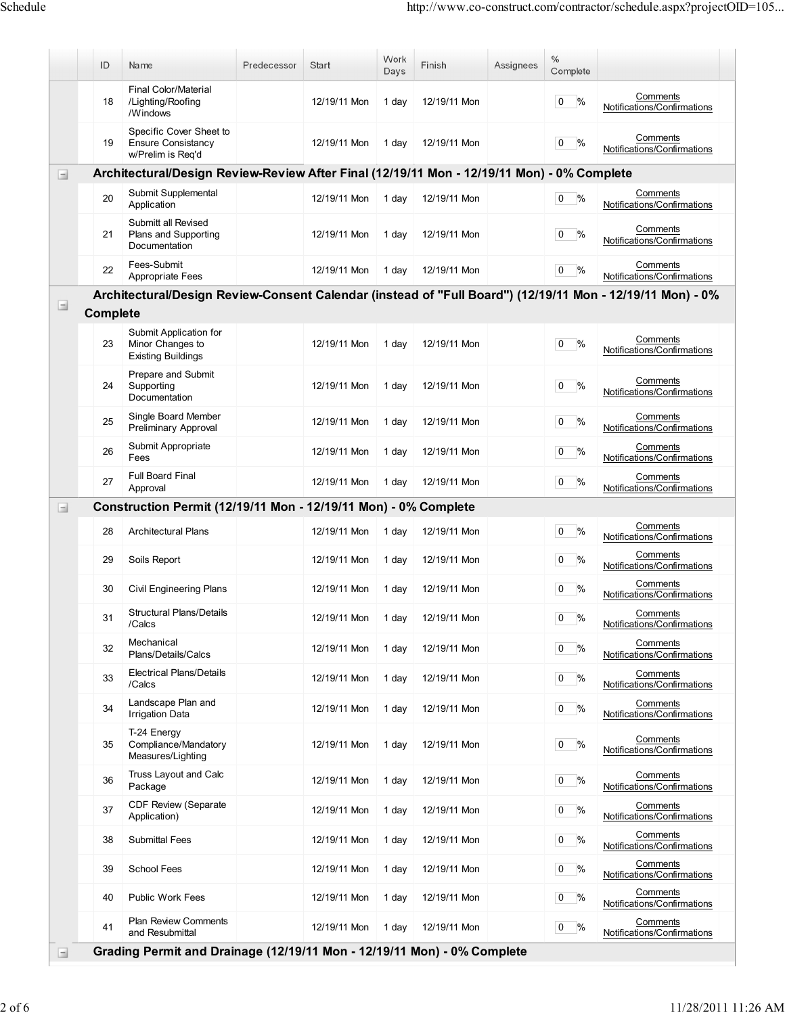|                                       | ID              | Name                                                                                       | Predecessor | Start        | Work<br>Days | Finish       | Assignees | $\frac{0}{0}$<br>Complete       |                                                                                                           |
|---------------------------------------|-----------------|--------------------------------------------------------------------------------------------|-------------|--------------|--------------|--------------|-----------|---------------------------------|-----------------------------------------------------------------------------------------------------------|
|                                       | 18              | Final Color/Material<br>/Lighting/Roofing<br>/Windows                                      |             | 12/19/11 Mon | 1 day        | 12/19/11 Mon |           | $\frac{0}{0}$<br>$\overline{0}$ | Comments<br>Notifications/Confirmations                                                                   |
|                                       | 19              | Specific Cover Sheet to<br><b>Ensure Consistancy</b><br>w/Prelim is Req'd                  |             | 12/19/11 Mon | 1 day        | 12/19/11 Mon |           | %<br>0                          | Comments<br>Notifications/Confirmations                                                                   |
| $\equiv$                              |                 | Architectural/Design Review-Review After Final (12/19/11 Mon - 12/19/11 Mon) - 0% Complete |             |              |              |              |           |                                 |                                                                                                           |
|                                       | 20              | Submit Supplemental<br>Application                                                         |             | 12/19/11 Mon | 1 day        | 12/19/11 Mon |           | $\frac{0}{0}$<br>$\overline{0}$ | Comments<br>Notifications/Confirmations                                                                   |
|                                       | 21              | Submitt all Revised<br>Plans and Supporting<br>Documentation                               |             | 12/19/11 Mon | 1 day        | 12/19/11 Mon |           | %<br>0                          | Comments<br>Notifications/Confirmations                                                                   |
|                                       | 22              | Fees-Submit<br>Appropriate Fees                                                            |             | 12/19/11 Mon | 1 day        | 12/19/11 Mon |           | $\frac{0}{0}$<br>$\overline{0}$ | Comments<br>Notifications/Confirmations                                                                   |
|                                       |                 |                                                                                            |             |              |              |              |           |                                 | Architectural/Design Review-Consent Calendar (instead of "Full Board") (12/19/11 Mon - 12/19/11 Mon) - 0% |
| $\begin{array}{c} \hline \end{array}$ | <b>Complete</b> |                                                                                            |             |              |              |              |           |                                 |                                                                                                           |
|                                       | 23              | Submit Application for<br>Minor Changes to<br><b>Existing Buildings</b>                    |             | 12/19/11 Mon | 1 day        | 12/19/11 Mon |           | $\frac{0}{0}$<br>0              | Comments<br>Notifications/Confirmations                                                                   |
|                                       | 24              | Prepare and Submit<br>Supporting<br>Documentation                                          |             | 12/19/11 Mon | 1 day        | 12/19/11 Mon |           | $\frac{0}{0}$<br>0              | Comments<br>Notifications/Confirmations                                                                   |
|                                       | 25              | Single Board Member<br>Preliminary Approval                                                |             | 12/19/11 Mon | 1 day        | 12/19/11 Mon |           | $\%$<br>$\overline{0}$          | Comments<br>Notifications/Confirmations                                                                   |
|                                       | 26              | Submit Appropriate<br>Fees                                                                 |             | 12/19/11 Mon | 1 day        | 12/19/11 Mon |           | $\frac{0}{0}$<br>0              | Comments<br>Notifications/Confirmations                                                                   |
|                                       | 27              | <b>Full Board Final</b><br>Approval                                                        |             | 12/19/11 Mon | 1 day        | 12/19/11 Mon |           | $\%$<br>0                       | Comments<br>Notifications/Confirmations                                                                   |
| $\begin{array}{c} \hline \end{array}$ |                 | Construction Permit (12/19/11 Mon - 12/19/11 Mon) - 0% Complete                            |             |              |              |              |           |                                 |                                                                                                           |
|                                       | 28              | <b>Architectural Plans</b>                                                                 |             | 12/19/11 Mon | 1 day        | 12/19/11 Mon |           | $\frac{0}{0}$<br>0              | Comments<br>Notifications/Confirmations                                                                   |
|                                       | 29              | Soils Report                                                                               |             | 12/19/11 Mon | 1 day        | 12/19/11 Mon |           | $\frac{0}{0}$<br>0              | Comments<br>Notifications/Confirmations                                                                   |
|                                       | 30              | <b>Civil Engineering Plans</b>                                                             |             | 12/19/11 Mon | 1 day        | 12/19/11 Mon |           | $\frac{0}{0}$<br>0              | Comments<br>Notifications/Confirmations                                                                   |
|                                       | 31              | <b>Structural Plans/Details</b><br>/Calcs                                                  |             | 12/19/11 Mon | 1 day        | 12/19/11 Mon |           | $0\%$                           | Comments<br>Notifications/Confirmations                                                                   |
|                                       | 32              | Mechanical<br>Plans/Details/Calcs                                                          |             | 12/19/11 Mon | 1 day        | 12/19/11 Mon |           | $0\frac{9}{6}$                  | Comments<br>Notifications/Confirmations                                                                   |
|                                       | 33              | <b>Electrical Plans/Details</b><br>/Calcs                                                  |             | 12/19/11 Mon | 1 day        | 12/19/11 Mon |           | %<br>$\overline{0}$             | Comments<br>Notifications/Confirmations                                                                   |
|                                       | 34              | Landscape Plan and<br><b>Irrigation Data</b>                                               |             | 12/19/11 Mon | 1 day        | 12/19/11 Mon |           | %<br>$\overline{0}$             | Comments<br>Notifications/Confirmations                                                                   |
|                                       | 35              | T-24 Energy<br>Compliance/Mandatory<br>Measures/Lighting                                   |             | 12/19/11 Mon | 1 day        | 12/19/11 Mon |           | $\frac{0}{0}$<br>0              | Comments<br>Notifications/Confirmations                                                                   |
|                                       | 36              | Truss Layout and Calc<br>Package                                                           |             | 12/19/11 Mon | 1 day        | 12/19/11 Mon |           | %<br>$\overline{0}$             | Comments<br>Notifications/Confirmations                                                                   |
|                                       | 37              | CDF Review (Separate<br>Application)                                                       |             | 12/19/11 Mon | 1 day        | 12/19/11 Mon |           | $\frac{9}{6}$<br>$\overline{0}$ | Comments<br>Notifications/Confirmations                                                                   |
|                                       | 38              | <b>Submittal Fees</b>                                                                      |             | 12/19/11 Mon | 1 day        | 12/19/11 Mon |           | %<br>$\overline{0}$             | Comments<br>Notifications/Confirmations                                                                   |
|                                       | 39              | <b>School Fees</b>                                                                         |             | 12/19/11 Mon | 1 day        | 12/19/11 Mon |           | %<br>$\overline{0}$             | Comments<br>Notifications/Confirmations                                                                   |
|                                       | 40              | <b>Public Work Fees</b>                                                                    |             | 12/19/11 Mon | 1 day        | 12/19/11 Mon |           | %<br>$\overline{0}$             | Comments<br>Notifications/Confirmations                                                                   |
|                                       | 41              | <b>Plan Review Comments</b><br>and Resubmittal                                             |             | 12/19/11 Mon | 1 day        | 12/19/11 Mon |           | %<br>$\overline{0}$             | Comments<br>Notifications/Confirmations                                                                   |
| Ξ                                     |                 | Grading Permit and Drainage (12/19/11 Mon - 12/19/11 Mon) - 0% Complete                    |             |              |              |              |           |                                 |                                                                                                           |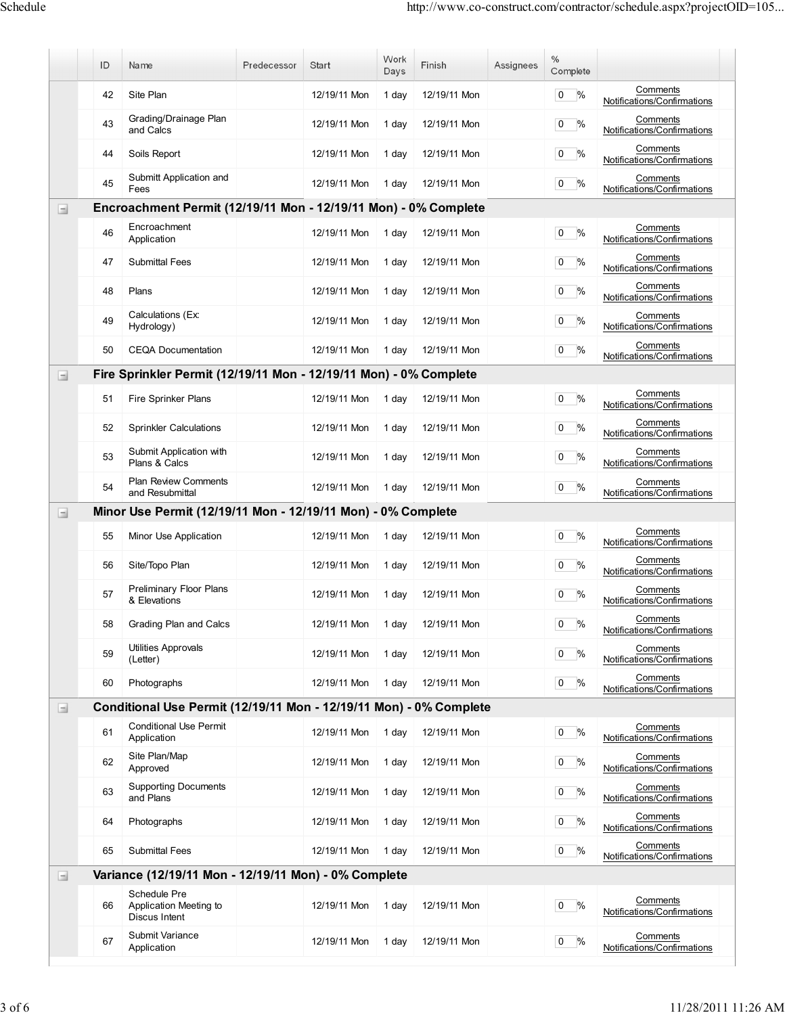|                                       | ID | Name                                                               | Predecessor | Start        | Work<br>Days | Finish       | Assignees | $\%$<br>Complete                |                                         |
|---------------------------------------|----|--------------------------------------------------------------------|-------------|--------------|--------------|--------------|-----------|---------------------------------|-----------------------------------------|
|                                       | 42 | Site Plan                                                          |             | 12/19/11 Mon | 1 day        | 12/19/11 Mon |           | %<br>$\overline{0}$             | Comments<br>Notifications/Confirmations |
|                                       | 43 | Grading/Drainage Plan<br>and Calcs                                 |             | 12/19/11 Mon | 1 day        | 12/19/11 Mon |           | $\overline{0}$<br>%             | Comments<br>Notifications/Confirmations |
|                                       | 44 | Soils Report                                                       |             | 12/19/11 Mon | 1 day        | 12/19/11 Mon |           | $\frac{9}{6}$<br>$\overline{0}$ | Comments<br>Notifications/Confirmations |
|                                       | 45 | Submitt Application and<br>Fees                                    |             | 12/19/11 Mon | 1 day        | 12/19/11 Mon |           | $\%$<br>$\overline{0}$          | Comments<br>Notifications/Confirmations |
| $\begin{array}{c} \hline \end{array}$ |    | Encroachment Permit (12/19/11 Mon - 12/19/11 Mon) - 0% Complete    |             |              |              |              |           |                                 |                                         |
|                                       | 46 | Encroachment<br>Application                                        |             | 12/19/11 Mon | 1 day        | 12/19/11 Mon |           | %<br>$\overline{0}$             | Comments<br>Notifications/Confirmations |
|                                       | 47 | <b>Submittal Fees</b>                                              |             | 12/19/11 Mon | 1 day        | 12/19/11 Mon |           | %<br>$\overline{0}$             | Comments<br>Notifications/Confirmations |
|                                       | 48 | Plans                                                              |             | 12/19/11 Mon | 1 day        | 12/19/11 Mon |           | $\%$<br>$\overline{0}$          | Comments<br>Notifications/Confirmations |
|                                       | 49 | Calculations (Ex.<br>Hydrology)                                    |             | 12/19/11 Mon | 1 day        | 12/19/11 Mon |           | $\%$<br>$\overline{0}$          | Comments<br>Notifications/Confirmations |
|                                       | 50 | <b>CEQA Documentation</b>                                          |             | 12/19/11 Mon | 1 day        | 12/19/11 Mon |           | $\overline{0}$<br>%             | Comments<br>Notifications/Confirmations |
| $\Box$                                |    | Fire Sprinkler Permit (12/19/11 Mon - 12/19/11 Mon) - 0% Complete  |             |              |              |              |           |                                 |                                         |
|                                       | 51 | Fire Sprinker Plans                                                |             | 12/19/11 Mon | 1 day        | 12/19/11 Mon |           | %<br>$\overline{0}$             | Comments<br>Notifications/Confirmations |
|                                       | 52 | <b>Sprinkler Calculations</b>                                      |             | 12/19/11 Mon | 1 day        | 12/19/11 Mon |           | $0\frac{9}{6}$                  | Comments<br>Notifications/Confirmations |
|                                       | 53 | Submit Application with<br>Plans & Calcs                           |             | 12/19/11 Mon | 1 day        | 12/19/11 Mon |           | $0 \frac{9}{6}$                 | Comments<br>Notifications/Confirmations |
|                                       | 54 | <b>Plan Review Comments</b><br>and Resubmittal                     |             | 12/19/11 Mon | 1 day        | 12/19/11 Mon |           | %<br>$\overline{0}$             | Comments<br>Notifications/Confirmations |
| $\Box$                                |    | Minor Use Permit (12/19/11 Mon - 12/19/11 Mon) - 0% Complete       |             |              |              |              |           |                                 |                                         |
|                                       | 55 | Minor Use Application                                              |             | 12/19/11 Mon | 1 day        | 12/19/11 Mon |           | $\%$<br>$\overline{0}$          | Comments<br>Notifications/Confirmations |
|                                       | 56 | Site/Topo Plan                                                     |             | 12/19/11 Mon | 1 day        | 12/19/11 Mon |           | $0\frac{9}{6}$                  | Comments<br>Notifications/Confirmations |
|                                       | 57 | Preliminary Floor Plans<br>& Elevations                            |             | 12/19/11 Mon | 1 day        | 12/19/11 Mon |           | 0<br>%                          | Comments<br>Notifications/Confirmations |
|                                       | 58 | Grading Plan and Calcs                                             |             | 12/19/11 Mon | 1 day        | 12/19/11 Mon |           | $0\frac{9}{6}$                  | Comments<br>Notifications/Confirmations |
|                                       | 59 | Utilities Approvals<br>(Letter)                                    |             | 12/19/11 Mon | 1 day        | 12/19/11 Mon |           | $0\frac{9}{6}$                  | Comments<br>Notifications/Confirmations |
|                                       | 60 | Photographs                                                        |             | 12/19/11 Mon | 1 day        | 12/19/11 Mon |           | %<br>$\overline{0}$             | Comments<br>Notifications/Confirmations |
| $\Box$                                |    | Conditional Use Permit (12/19/11 Mon - 12/19/11 Mon) - 0% Complete |             |              |              |              |           |                                 |                                         |
|                                       | 61 | <b>Conditional Use Permit</b><br>Application                       |             | 12/19/11 Mon | 1 day        | 12/19/11 Mon |           | %<br>$\overline{0}$             | Comments<br>Notifications/Confirmations |
|                                       | 62 | Site Plan/Map<br>Approved                                          |             | 12/19/11 Mon | 1 day        | 12/19/11 Mon |           | $\frac{9}{6}$<br>$\overline{0}$ | Comments<br>Notifications/Confirmations |
|                                       | 63 | <b>Supporting Documents</b><br>and Plans                           |             | 12/19/11 Mon | 1 day        | 12/19/11 Mon |           | $0\frac{9}{6}$                  | Comments<br>Notifications/Confirmations |
|                                       | 64 | Photographs                                                        |             | 12/19/11 Mon | 1 day        | 12/19/11 Mon |           | $\overline{0}$<br>%             | Comments<br>Notifications/Confirmations |
|                                       | 65 | <b>Submittal Fees</b>                                              |             | 12/19/11 Mon | 1 day        | 12/19/11 Mon |           | %<br>$\overline{0}$             | Comments<br>Notifications/Confirmations |
| $\Box$                                |    | Variance (12/19/11 Mon - 12/19/11 Mon) - 0% Complete               |             |              |              |              |           |                                 |                                         |
|                                       | 66 | Schedule Pre<br>Application Meeting to<br>Discus Intent            |             | 12/19/11 Mon | 1 day        | 12/19/11 Mon |           | $\overline{0}$<br>%             | Comments<br>Notifications/Confirmations |
|                                       | 67 | Submit Variance<br>Application                                     |             | 12/19/11 Mon | 1 day        | 12/19/11 Mon |           | %<br>$\overline{0}$             | Comments<br>Notifications/Confirmations |
|                                       |    |                                                                    |             |              |              |              |           |                                 |                                         |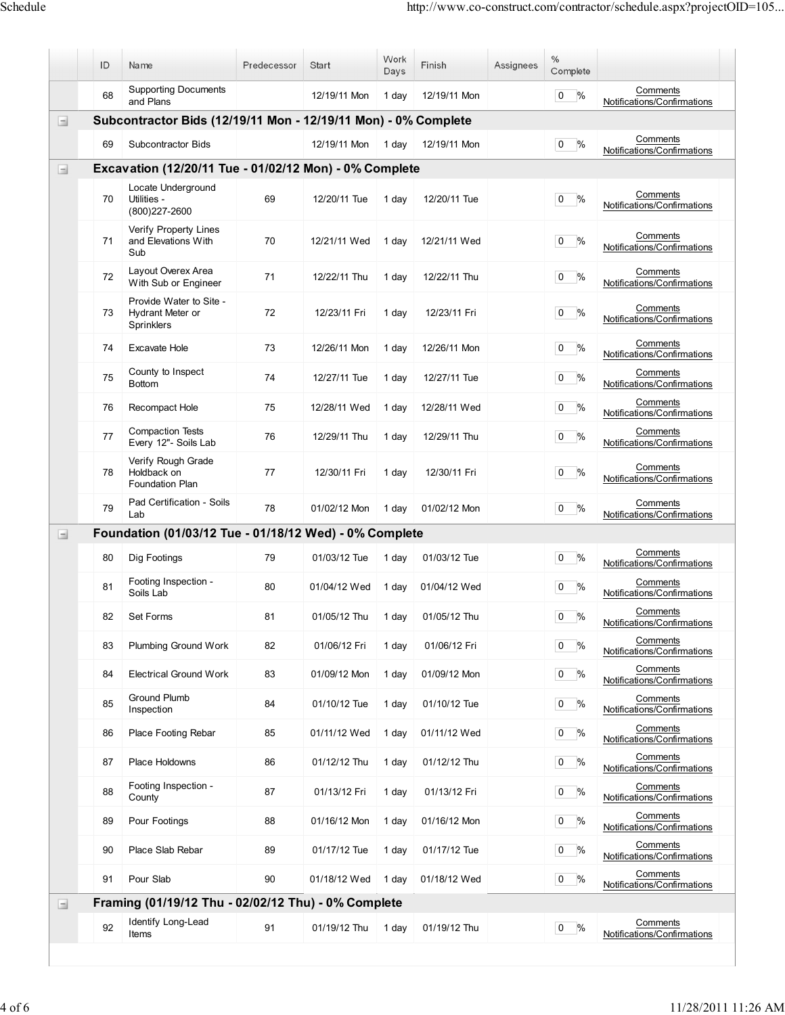|                                       | ID                                                             | Name                                                      | Predecessor | Start        | Work<br>Days | Finish       | Assignees | $\%$<br>Complete                |                                         |  |  |
|---------------------------------------|----------------------------------------------------------------|-----------------------------------------------------------|-------------|--------------|--------------|--------------|-----------|---------------------------------|-----------------------------------------|--|--|
|                                       | 68                                                             | <b>Supporting Documents</b><br>and Plans                  |             | 12/19/11 Mon | 1 day        | 12/19/11 Mon |           | $\overline{0}$<br>%             | Comments<br>Notifications/Confirmations |  |  |
| $\Box$                                | Subcontractor Bids (12/19/11 Mon - 12/19/11 Mon) - 0% Complete |                                                           |             |              |              |              |           |                                 |                                         |  |  |
|                                       | 69                                                             | Subcontractor Bids                                        |             | 12/19/11 Mon | 1 day        | 12/19/11 Mon |           | $\overline{0}$<br>%             | Comments<br>Notifications/Confirmations |  |  |
| $\Box$                                |                                                                | Excavation (12/20/11 Tue - 01/02/12 Mon) - 0% Complete    |             |              |              |              |           |                                 |                                         |  |  |
|                                       | 70                                                             | Locate Underground<br>Utilities -<br>(800) 227-2600       | 69          | 12/20/11 Tue | 1 day        | 12/20/11 Tue |           | $\frac{0}{0}$<br>$\overline{0}$ | Comments<br>Notifications/Confirmations |  |  |
|                                       | 71                                                             | Verify Property Lines<br>and Elevations With<br>Sub       | 70          | 12/21/11 Wed | 1 day        | 12/21/11 Wed |           | %<br>0                          | Comments<br>Notifications/Confirmations |  |  |
|                                       | 72                                                             | Layout Overex Area<br>With Sub or Engineer                | 71          | 12/22/11 Thu | 1 day        | 12/22/11 Thu |           | %<br>$\overline{0}$             | Comments<br>Notifications/Confirmations |  |  |
|                                       | 73                                                             | Provide Water to Site -<br>Hydrant Meter or<br>Sprinklers | 72          | 12/23/11 Fri | 1 day        | 12/23/11 Fri |           | $\overline{0}$<br>%             | Comments<br>Notifications/Confirmations |  |  |
|                                       | 74                                                             | Excavate Hole                                             | 73          | 12/26/11 Mon | 1 day        | 12/26/11 Mon |           | %<br>$\overline{0}$             | Comments<br>Notifications/Confirmations |  |  |
|                                       | 75                                                             | County to Inspect<br><b>Bottom</b>                        | 74          | 12/27/11 Tue | 1 day        | 12/27/11 Tue |           | %<br>0                          | Comments<br>Notifications/Confirmations |  |  |
|                                       | 76                                                             | Recompact Hole                                            | 75          | 12/28/11 Wed | 1 day        | 12/28/11 Wed |           | $\frac{0}{0}$<br>$\overline{0}$ | Comments<br>Notifications/Confirmations |  |  |
|                                       | 77                                                             | <b>Compaction Tests</b><br>Every 12"- Soils Lab           | 76          | 12/29/11 Thu | 1 day        | 12/29/11 Thu |           | $\overline{0}$<br>%             | Comments<br>Notifications/Confirmations |  |  |
|                                       | 78                                                             | Verify Rough Grade<br>Holdback on<br>Foundation Plan      | 77          | 12/30/11 Fri | 1 day        | 12/30/11 Fri |           | $\overline{0}$<br>$\frac{1}{2}$ | Comments<br>Notifications/Confirmations |  |  |
|                                       | 79                                                             | Pad Certification - Soils<br>Lab                          | 78          | 01/02/12 Mon | 1 day        | 01/02/12 Mon |           | %<br>0                          | Comments<br>Notifications/Confirmations |  |  |
| $\begin{array}{c} \hline \end{array}$ |                                                                | Foundation (01/03/12 Tue - 01/18/12 Wed) - 0% Complete    |             |              |              |              |           |                                 |                                         |  |  |
|                                       | 80                                                             | Dig Footings                                              | 79          | 01/03/12 Tue | 1 day        | 01/03/12 Tue |           | $\frac{0}{0}$<br>$\overline{0}$ | Comments<br>Notifications/Confirmations |  |  |
|                                       | 81                                                             | Footing Inspection -<br>Soils Lab                         | 80          | 01/04/12 Wed | 1 day        | 01/04/12 Wed |           | $\overline{0}$<br>%             | Comments<br>Notifications/Confirmations |  |  |
|                                       | 82                                                             | Set Forms                                                 | 81          | 01/05/12 Thu | 1 day        | 01/05/12 Thu |           | $0$ %                           | Comments<br>Notifications/Confirmations |  |  |
|                                       | 83                                                             | Plumbing Ground Work                                      | 82          | 01/06/12 Fri | 1 day        | 01/06/12 Fri |           | $0\frac{9}{6}$                  | Comments<br>Notifications/Confirmations |  |  |
|                                       | 84                                                             | <b>Electrical Ground Work</b>                             | 83          | 01/09/12 Mon | 1 day        | 01/09/12 Mon |           | $0\frac{9}{6}$                  | Comments<br>Notifications/Confirmations |  |  |
|                                       | 85                                                             | Ground Plumb<br>Inspection                                | 84          | 01/10/12 Tue | 1 day        | 01/10/12 Tue |           | %<br>$\overline{0}$             | Comments<br>Notifications/Confirmations |  |  |
|                                       | 86                                                             | Place Footing Rebar                                       | 85          | 01/11/12 Wed | 1 day        | 01/11/12 Wed |           | %<br>$\overline{0}$             | Comments<br>Notifications/Confirmations |  |  |
|                                       | 87                                                             | Place Holdowns                                            | 86          | 01/12/12 Thu | 1 day        | 01/12/12 Thu |           | %<br>$\overline{0}$             | Comments<br>Notifications/Confirmations |  |  |
|                                       | 88                                                             | Footing Inspection -<br>County                            | 87          | 01/13/12 Fri | 1 day        | 01/13/12 Fri |           | %<br>$\overline{0}$             | Comments<br>Notifications/Confirmations |  |  |
|                                       | 89                                                             | Pour Footings                                             | 88          | 01/16/12 Mon | 1 day        | 01/16/12 Mon |           | %<br>$\overline{0}$             | Comments<br>Notifications/Confirmations |  |  |
|                                       | 90                                                             | Place Slab Rebar                                          | 89          | 01/17/12 Tue | 1 day        | 01/17/12 Tue |           | $\%$<br>$\overline{0}$          | Comments<br>Notifications/Confirmations |  |  |
|                                       | 91                                                             | Pour Slab                                                 | 90          | 01/18/12 Wed | 1 day        | 01/18/12 Wed |           | $\frac{9}{6}$<br>$\overline{0}$ | Comments<br>Notifications/Confirmations |  |  |
| $\blacksquare$                        |                                                                | Framing (01/19/12 Thu - 02/02/12 Thu) - 0% Complete       |             |              |              |              |           |                                 |                                         |  |  |
|                                       | 92                                                             | Identify Long-Lead<br>Items                               | 91          | 01/19/12 Thu | 1 day        | 01/19/12 Thu |           | $\overline{0}$<br>$\frac{1}{2}$ | Comments<br>Notifications/Confirmations |  |  |

 $\overline{\phantom{a}}$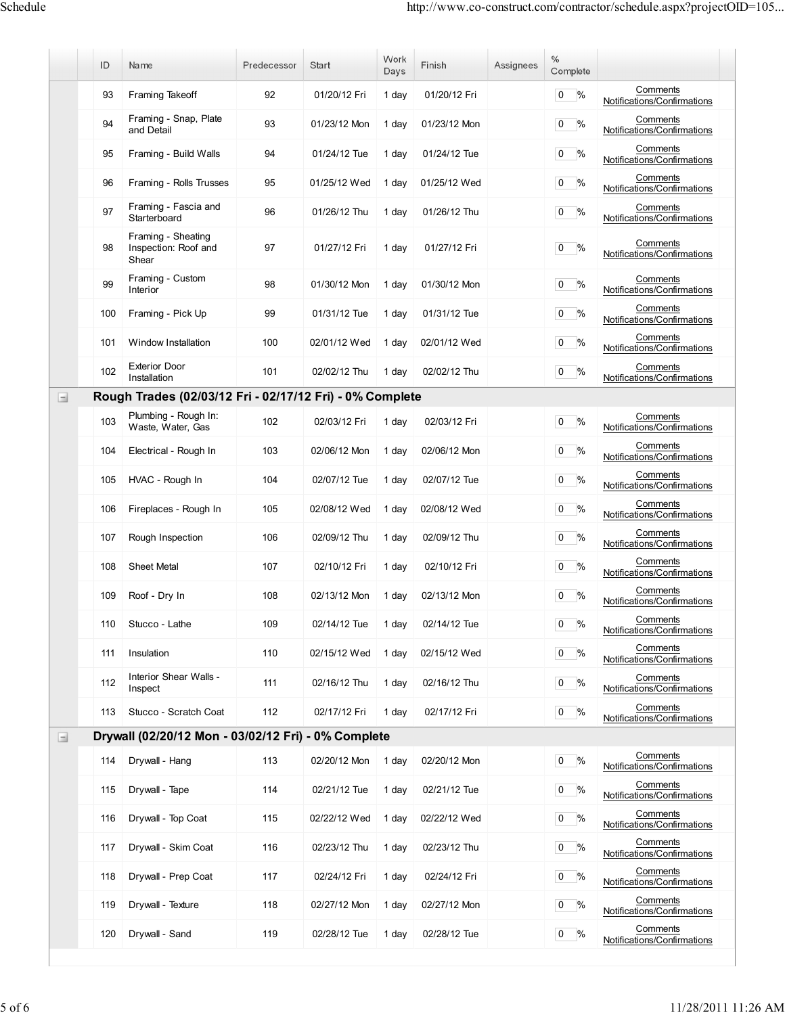|                                       | ID  | Name                                                     | Predecessor | Start        | Work<br>Days | Finish       | Assignees | $\%$<br>Complete                |                                         |
|---------------------------------------|-----|----------------------------------------------------------|-------------|--------------|--------------|--------------|-----------|---------------------------------|-----------------------------------------|
|                                       | 93  | Framing Takeoff                                          | 92          | 01/20/12 Fri | 1 day        | 01/20/12 Fri |           | $\overline{0}$<br>%             | Comments<br>Notifications/Confirmations |
|                                       | 94  | Framing - Snap, Plate<br>and Detail                      | 93          | 01/23/12 Mon | 1 day        | 01/23/12 Mon |           | %<br>$\overline{0}$             | Comments<br>Notifications/Confirmations |
|                                       | 95  | Framing - Build Walls                                    | 94          | 01/24/12 Tue | 1 day        | 01/24/12 Tue |           | $\overline{0}$<br>%             | Comments<br>Notifications/Confirmations |
|                                       | 96  | Framing - Rolls Trusses                                  | 95          | 01/25/12 Wed | 1 day        | 01/25/12 Wed |           | %<br>$\overline{0}$             | Comments<br>Notifications/Confirmations |
|                                       | 97  | Framing - Fascia and<br>Starterboard                     | 96          | 01/26/12 Thu | 1 day        | 01/26/12 Thu |           | $\%$<br>$\mathbf{0}$            | Comments<br>Notifications/Confirmations |
|                                       | 98  | Framing - Sheating<br>Inspection: Roof and<br>Shear      | 97          | 01/27/12 Fri | 1 day        | 01/27/12 Fri |           | %<br>0                          | Comments<br>Notifications/Confirmations |
|                                       | 99  | Framing - Custom<br>Interior                             | 98          | 01/30/12 Mon | 1 day        | 01/30/12 Mon |           | $0\frac{9}{6}$                  | Comments<br>Notifications/Confirmations |
|                                       | 100 | Framing - Pick Up                                        | 99          | 01/31/12 Tue | 1 day        | 01/31/12 Tue |           | $0\frac{9}{6}$                  | Comments<br>Notifications/Confirmations |
|                                       | 101 | Window Installation                                      | 100         | 02/01/12 Wed | 1 day        | 02/01/12 Wed |           | $\%$<br>$\overline{0}$          | Comments<br>Notifications/Confirmations |
|                                       | 102 | <b>Exterior Door</b><br>Installation                     | 101         | 02/02/12 Thu | 1 day        | 02/02/12 Thu |           | %<br>$\mathbf{0}$               | Comments<br>Notifications/Confirmations |
| $\begin{array}{c} \hline \end{array}$ |     | Rough Trades (02/03/12 Fri - 02/17/12 Fri) - 0% Complete |             |              |              |              |           |                                 |                                         |
|                                       | 103 | Plumbing - Rough In:<br>Waste, Water, Gas                | 102         | 02/03/12 Fri | 1 day        | 02/03/12 Fri |           | $\frac{0}{6}$<br>$\overline{0}$ | Comments<br>Notifications/Confirmations |
|                                       | 104 | Electrical - Rough In                                    | 103         | 02/06/12 Mon | 1 day        | 02/06/12 Mon |           | $\%$<br>$\mathbf{0}$            | Comments<br>Notifications/Confirmations |
|                                       | 105 | HVAC - Rough In                                          | 104         | 02/07/12 Tue | 1 day        | 02/07/12 Tue |           | %<br>$\overline{0}$             | Comments<br>Notifications/Confirmations |
|                                       | 106 | Fireplaces - Rough In                                    | 105         | 02/08/12 Wed | 1 day        | 02/08/12 Wed |           | $0 \frac{9}{6}$                 | Comments<br>Notifications/Confirmations |
|                                       | 107 | Rough Inspection                                         | 106         | 02/09/12 Thu | 1 day        | 02/09/12 Thu |           | %<br>$\overline{0}$             | Comments<br>Notifications/Confirmations |
|                                       | 108 | <b>Sheet Metal</b>                                       | 107         | 02/10/12 Fri | 1 day        | 02/10/12 Fri |           | $\%$<br>$\mathbf{0}$            | Comments<br>Notifications/Confirmations |
|                                       | 109 | Roof - Dry In                                            | 108         | 02/13/12 Mon | 1 day        | 02/13/12 Mon |           | $\%$<br>0                       | Comments<br>Notifications/Confirmations |
|                                       | 110 | Stucco - Lathe                                           | 109         | 02/14/12 Tue | 1 day        | 02/14/12 Tue |           | $0 \frac{9}{6}$                 | Comments<br>Notifications/Confirmations |
|                                       | 111 | Insulation                                               | 110         | 02/15/12 Wed | 1 day        | 02/15/12 Wed |           | $0\frac{9}{6}$                  | Comments<br>Notifications/Confirmations |
|                                       | 112 | Interior Shear Walls -<br>Inspect                        | 111         | 02/16/12 Thu | 1 day        | 02/16/12 Thu |           | $0 \frac{9}{6}$                 | Comments<br>Notifications/Confirmations |
|                                       | 113 | Stucco - Scratch Coat                                    | 112         | 02/17/12 Fri | 1 day        | 02/17/12 Fri |           | $0\frac{9}{6}$                  | Comments<br>Notifications/Confirmations |
| $\begin{array}{c} \hline \end{array}$ |     | Drywall (02/20/12 Mon - 03/02/12 Fri) - 0% Complete      |             |              |              |              |           |                                 |                                         |
|                                       | 114 | Drywall - Hang                                           | 113         | 02/20/12 Mon | 1 day        | 02/20/12 Mon |           | %<br>$\overline{0}$             | Comments<br>Notifications/Confirmations |
|                                       | 115 | Drywall - Tape                                           | 114         | 02/21/12 Tue | 1 day        | 02/21/12 Tue |           | $0\frac{9}{6}$                  | Comments<br>Notifications/Confirmations |
|                                       | 116 | Drywall - Top Coat                                       | 115         | 02/22/12 Wed | 1 day        | 02/22/12 Wed |           | $0\%$                           | Comments<br>Notifications/Confirmations |
|                                       | 117 | Drywall - Skim Coat                                      | 116         | 02/23/12 Thu | 1 day        | 02/23/12 Thu |           | $0 \frac{9}{6}$                 | Comments<br>Notifications/Confirmations |
|                                       | 118 | Drywall - Prep Coat                                      | 117         | 02/24/12 Fri | 1 day        | 02/24/12 Fri |           | $0\%$                           | Comments<br>Notifications/Confirmations |
|                                       | 119 | Drywall - Texture                                        | 118         | 02/27/12 Mon | 1 day        | 02/27/12 Mon |           | $0\frac{9}{6}$                  | Comments<br>Notifications/Confirmations |
|                                       | 120 | Drywall - Sand                                           | 119         | 02/28/12 Tue | 1 day        | 02/28/12 Tue |           | $0\frac{9}{6}$                  | Comments<br>Notifications/Confirmations |